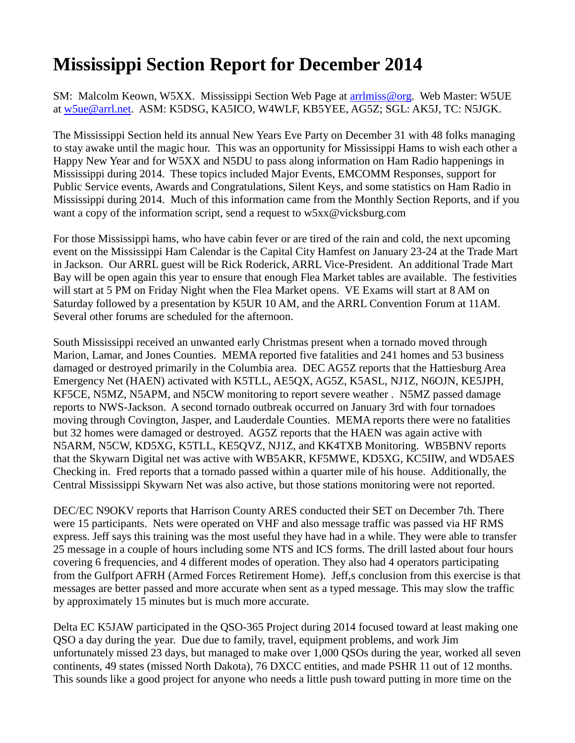## **Mississippi Section Report for December 2014**

SM: Malcolm Keown, W5XX. Mississippi Section Web Page at [arrlmiss@org.](mailto:arrlmiss@org) Web Master: W5UE at [w5ue@arrl.net.](mailto:w5ue@arrl.net) ASM: K5DSG, KA5ICO, W4WLF, KB5YEE, AG5Z; SGL: AK5J, TC: N5JGK.

The Mississippi Section held its annual New Years Eve Party on December 31 with 48 folks managing to stay awake until the magic hour. This was an opportunity for Mississippi Hams to wish each other a Happy New Year and for W5XX and N5DU to pass along information on Ham Radio happenings in Mississippi during 2014. These topics included Major Events, EMCOMM Responses, support for Public Service events, Awards and Congratulations, Silent Keys, and some statistics on Ham Radio in Mississippi during 2014. Much of this information came from the Monthly Section Reports, and if you want a copy of the information script, send a request to w5xx@vicksburg.com

For those Mississippi hams, who have cabin fever or are tired of the rain and cold, the next upcoming event on the Mississippi Ham Calendar is the Capital City Hamfest on January 23-24 at the Trade Mart in Jackson. Our ARRL guest will be Rick Roderick, ARRL Vice-President. An additional Trade Mart Bay will be open again this year to ensure that enough Flea Market tables are available. The festivities will start at 5 PM on Friday Night when the Flea Market opens. VE Exams will start at 8 AM on Saturday followed by a presentation by K5UR 10 AM, and the ARRL Convention Forum at 11AM. Several other forums are scheduled for the afternoon.

South Mississippi received an unwanted early Christmas present when a tornado moved through Marion, Lamar, and Jones Counties. MEMA reported five fatalities and 241 homes and 53 business damaged or destroyed primarily in the Columbia area. DEC AG5Z reports that the Hattiesburg Area Emergency Net (HAEN) activated with K5TLL, AE5QX, AG5Z, K5ASL, NJ1Z, N6OJN, KE5JPH, KF5CE, N5MZ, N5APM, and N5CW monitoring to report severe weather . N5MZ passed damage reports to NWS-Jackson. A second tornado outbreak occurred on January 3rd with four tornadoes moving through Covington, Jasper, and Lauderdale Counties. MEMA reports there were no fatalities but 32 homes were damaged or destroyed. AG5Z reports that the HAEN was again active with N5ARM, N5CW, KD5XG, K5TLL, KE5QVZ, NJ1Z, and KK4TXB Monitoring. WB5BNV reports that the Skywarn Digital net was active with WB5AKR, KF5MWE, KD5XG, KC5IIW, and WD5AES Checking in. Fred reports that a tornado passed within a quarter mile of his house. Additionally, the Central Mississippi Skywarn Net was also active, but those stations monitoring were not reported.

DEC/EC N9OKV reports that Harrison County ARES conducted their SET on December 7th. There were 15 participants. Nets were operated on VHF and also message traffic was passed via HF RMS express. Jeff says this training was the most useful they have had in a while. They were able to transfer 25 message in a couple of hours including some NTS and ICS forms. The drill lasted about four hours covering 6 frequencies, and 4 different modes of operation. They also had 4 operators participating from the Gulfport AFRH (Armed Forces Retirement Home). Jeff,s conclusion from this exercise is that messages are better passed and more accurate when sent as a typed message. This may slow the traffic by approximately 15 minutes but is much more accurate.

Delta EC K5JAW participated in the QSO-365 Project during 2014 focused toward at least making one QSO a day during the year. Due due to family, travel, equipment problems, and work Jim unfortunately missed 23 days, but managed to make over 1,000 QSOs during the year, worked all seven continents, 49 states (missed North Dakota), 76 DXCC entities, and made PSHR 11 out of 12 months. This sounds like a good project for anyone who needs a little push toward putting in more time on the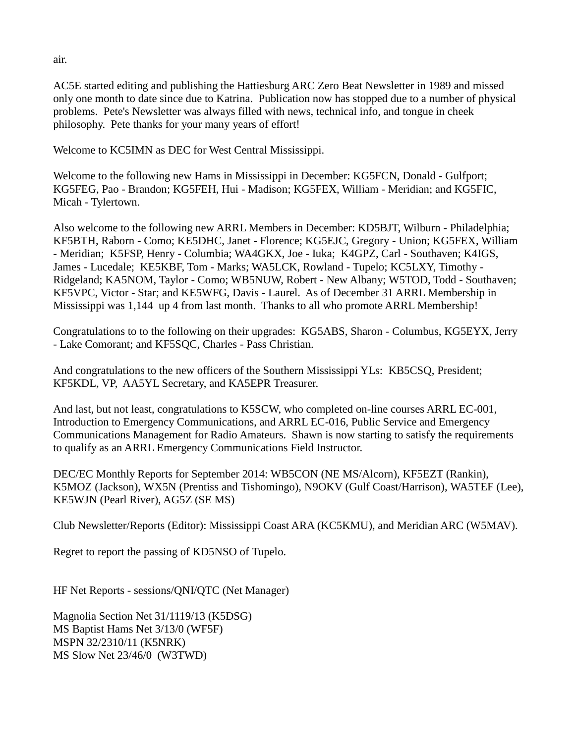AC5E started editing and publishing the Hattiesburg ARC Zero Beat Newsletter in 1989 and missed only one month to date since due to Katrina. Publication now has stopped due to a number of physical problems. Pete's Newsletter was always filled with news, technical info, and tongue in cheek philosophy. Pete thanks for your many years of effort!

Welcome to KC5IMN as DEC for West Central Mississippi.

Welcome to the following new Hams in Mississippi in December: KG5FCN, Donald - Gulfport; KG5FEG, Pao - Brandon; KG5FEH, Hui - Madison; KG5FEX, William - Meridian; and KG5FIC, Micah - Tylertown.

Also welcome to the following new ARRL Members in December: KD5BJT, Wilburn - Philadelphia; KF5BTH, Raborn - Como; KE5DHC, Janet - Florence; KG5EJC, Gregory - Union; KG5FEX, William - Meridian; K5FSP, Henry - Columbia; WA4GKX, Joe - Iuka; K4GPZ, Carl - Southaven; K4IGS, James - Lucedale; KE5KBF, Tom - Marks; WA5LCK, Rowland - Tupelo; KC5LXY, Timothy - Ridgeland; KA5NOM, Taylor - Como; WB5NUW, Robert - New Albany; W5TOD, Todd - Southaven; KF5VPC, Victor - Star; and KE5WFG, Davis - Laurel. As of December 31 ARRL Membership in Mississippi was 1,144 up 4 from last month. Thanks to all who promote ARRL Membership!

Congratulations to to the following on their upgrades: KG5ABS, Sharon - Columbus, KG5EYX, Jerry - Lake Comorant; and KF5SQC, Charles - Pass Christian.

And congratulations to the new officers of the Southern Mississippi YLs: KB5CSQ, President; KF5KDL, VP, AA5YL Secretary, and KA5EPR Treasurer.

And last, but not least, congratulations to K5SCW, who completed on-line courses ARRL EC-001, Introduction to Emergency Communications, and ARRL EC-016, Public Service and Emergency Communications Management for Radio Amateurs. Shawn is now starting to satisfy the requirements to qualify as an ARRL Emergency Communications Field Instructor.

DEC/EC Monthly Reports for September 2014: WB5CON (NE MS/Alcorn), KF5EZT (Rankin), K5MOZ (Jackson), WX5N (Prentiss and Tishomingo), N9OKV (Gulf Coast/Harrison), WA5TEF (Lee), KE5WJN (Pearl River), AG5Z (SE MS)

Club Newsletter/Reports (Editor): Mississippi Coast ARA (KC5KMU), and Meridian ARC (W5MAV).

Regret to report the passing of KD5NSO of Tupelo.

HF Net Reports - sessions/QNI/QTC (Net Manager)

Magnolia Section Net 31/1119/13 (K5DSG) MS Baptist Hams Net 3/13/0 (WF5F) MSPN 32/2310/11 (K5NRK) MS Slow Net 23/46/0 (W3TWD)

air.